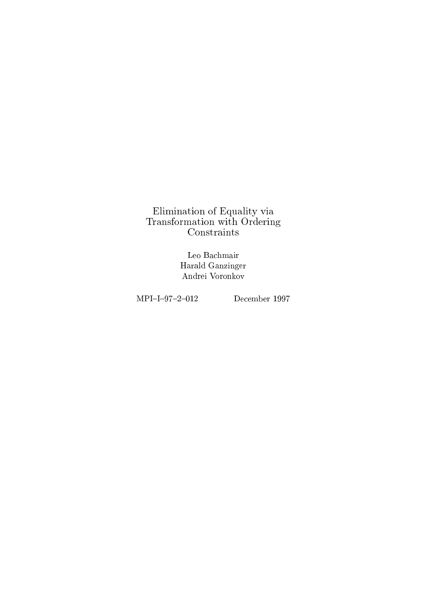Elimination of Equality via Transformation with  $\mathbb{F}_{\mathbb{F}_{q}}$  and  $\mathbb{F}_{q}$ 

> Leo Bachmair Harald Ganzinger Andrei Voronkov

 $MPI-I-97-2-012$  December 1997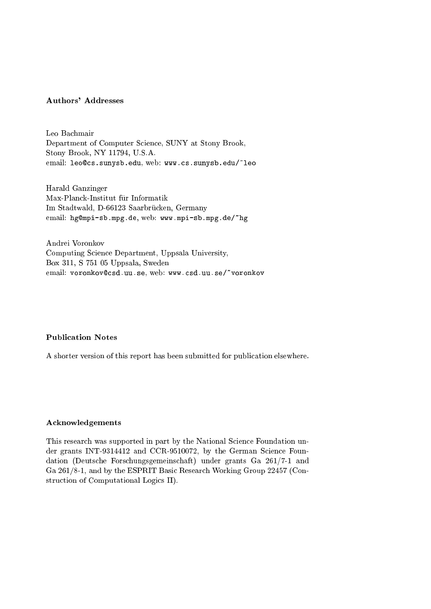# Authors' Addresses

Leo Bachmair Department of Computer Science, SUNY at Stony Brook, Stony Brook, NY 11794, U.S.A. email: leo@cs.sunysb.edu, web: www.cs.sunysb.edu/~leo

Harald Ganzinger Max-Planck-Institut für Informatik Im Stadtwald, D-66123 Saarbrucken, Germany email: hg@mpi-sb.mpg.de, web: www.mpi-sb.mpg.de/"hg

Andrei Voronkov Computing Science Department, Uppsala University, Box 311, S 751 05 Uppsala, Sweden email: voronkov@csd.uu.se, web: www.csd.uu.se/~voronkov

#### Publication Notes

A shorter version of this report has been submitted for publication elsewhere.

#### Acknowledgements

This research was supported in part by the National Science Foundation under grants INT-9314412 and CCR-9510072, by the German Science Foundation (Deutsche Forschungsgemeinschaft) under grants Ga 261/7-1 and Ga 261/8-1, and by the ESPRIT Basic Research Working Group 22457 (Construction of Computational Logics II).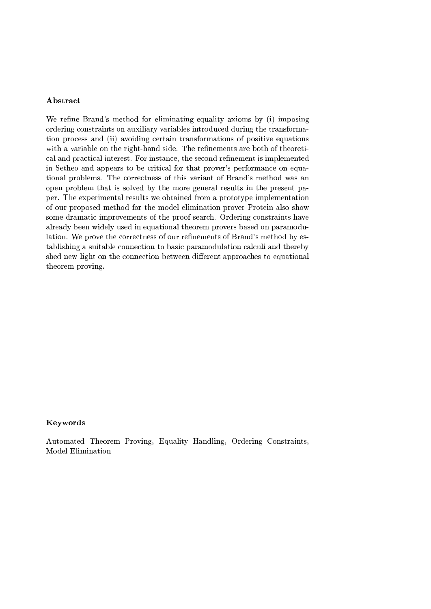### Abstract

We refine Brand's method for eliminating equality axioms by (i) imposing ordering constraints on auxiliary variables introduced during the transformation process and (ii) avoiding certain transformations of positive equations with a variable on the right-hand side. The refinements are both of theoretical and practical interest. For instance, the second renement is implemented in Setheo and appears to be critical for that prover's performance on equational problems. The correctness of this variant of Brand's method was an open problem that is solved by the more general results in the present paper. The experimental results we obtained from a prototype implementation of our proposed method for the model elimination prover Protein also show some dramatic improvements of the proof search. Ordering constraints have already been widely used in equational theorem provers based on paramodulation. We prove the correctness of our refinements of Brand's method by establishing a suitable connection to basic paramodulation calculi and thereby shed new light on the connection between different approaches to equational theorem proving.

#### Keywords

Automated Theorem Proving, Equality Handling, Ordering Constraints, Model Elimination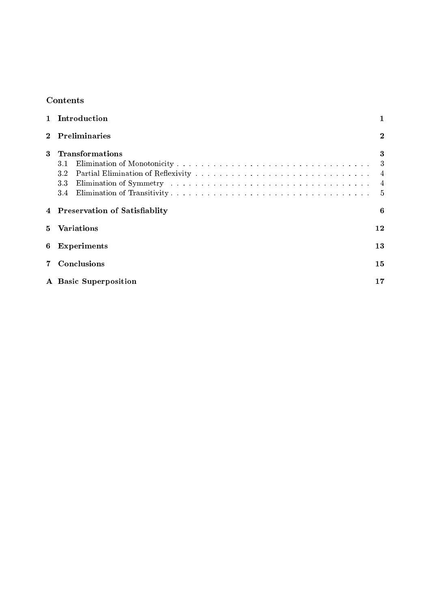# Contents

|          | 1 Introduction                  |                |  |  |  |  |  |  |
|----------|---------------------------------|----------------|--|--|--|--|--|--|
| $\bf{2}$ | Preliminaries                   | $\bf{2}$       |  |  |  |  |  |  |
| 3        | <b>Transformations</b><br>3.1   | 3<br>3         |  |  |  |  |  |  |
|          | 3.2                             | $\overline{4}$ |  |  |  |  |  |  |
|          | $3.3\,$                         | $\overline{4}$ |  |  |  |  |  |  |
|          | 3.4                             | $\frac{5}{2}$  |  |  |  |  |  |  |
|          | 4 Preservation of Satisfiablity | 6              |  |  |  |  |  |  |
| 5.       | <b>Variations</b><br>$12 \,$    |                |  |  |  |  |  |  |
| 6        | Experiments                     |                |  |  |  |  |  |  |
|          | Conclusions                     |                |  |  |  |  |  |  |
|          | A Basic Superposition           |                |  |  |  |  |  |  |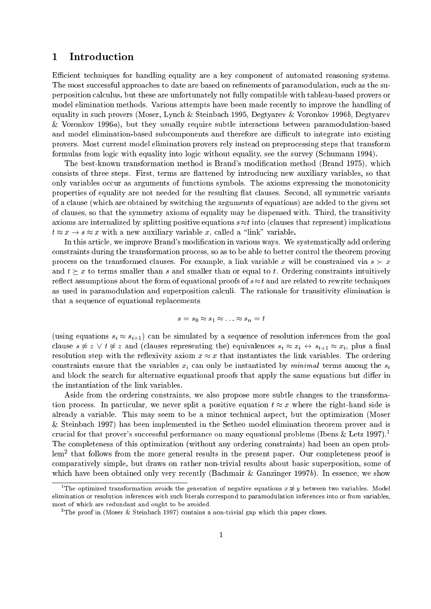# 1 Introduction

Efficient techniques for handling equality are a key component of automated reasoning systems. The most successful approaches to date are based on refinements of paramodulation, such as the superposition calculus, but these are unfortunately not fully compatible with tableau-based provers or model elimination methods. Various attempts have been made recently to improve the handling of equality in such provers (Moser, Lynch & Steinbach 1995, Degtyarev & Voronkov 1996b, Degtyarev & Voronkov 1996a), but they usually require subtle interactions between paramodulation-based and model elimination-based subcomponents and therefore are difficult to integrate into existing provers. Most current model elimination provers rely instead on preprocessing steps that transform formulas from logic with equality into logic without equality, see the survey (Schumann 1994).

The best-known transformation method is Brand's modification method (Brand 1975), which consists of three steps. First, terms are flattened by introducing new auxiliary variables, so that only variables occur as arguments of functions symbols. The axioms expressing the monotonicity properties of equality are not needed for the resulting flat clauses. Second, all symmetric variants of a clause (which are obtained by switching the arguments of equations) are added to the given set of clauses, so that the symmetry axioms of equality may be dispensed with. Third, the transitivity axioms are internalized by splitting positive equations  $s \approx t$  into (clauses that represent) implications  $t \approx x \rightarrow s \approx x$  with a new auxiliary variable x, called a "link" variable.

In this article, we improve Brand's modification in various ways. We systematically add ordering constraints during the transformation process, so as to be able to better control the theorem proving process on the transformed clauses. For example, a link variable x will be constrained via  $s \succ x$ and  $t \geq x$  to terms smaller than s and smaller than or equal to t. Ordering constraints intuitively reflect assumptions about the form of equational proofs of  $s \approx t$  and are related to rewrite techniques as used in paramodulation and superposition calculi. The rationale for transitivity elimination is that a sequence of equational replacements

$$
s = s_0 \approx s_1 \approx \ldots \approx s_n = t
$$

(using equations  $s_i \approx s_{i+1}$ ) can be simulated by a sequence of resolution inferences from the goal clause  $s \not\approx z \vee t \not\approx z$  and (clauses representing the) equivalences  $s_i \approx x_i \leftrightarrow s_{i+1} \approx x_i$ , plus a final resolution step with the reflexivity axiom  $x \approx x$  that instantiates the link variables. The ordering constraints ensure that the variables  $x_i$  can only be instantiated by *minimal* terms among the  $s_i$ and block the search for alternative equational proofs that apply the same equations but differ in the instantiation of the link variables.

Aside from the ordering constraints, we also propose more subtle changes to the transformation process. In particular, we never split a positive equation  $t \approx x$  where the right-hand side is already a variable. This may seem to be a minor technical aspect, but the optimization (Moser & Steinbach 1997) has been implemented in the Setheo model elimination theorem prover and is crucial for that prover's successful performance on many equational problems (Ibens  $\&$  Letz 1997).<sup>1</sup> The completeness of this optimization (without any ordering constraints) had been an open problem2 that follows from the more general results in the present paper. Our completeness proof is comparatively simple, but draws on rather non-trivial results about basic superposition, some of which have been obtained only very recently (Bachmair & Ganzinger 1997b). In essence, we show

The optimized transformation avoids the generation of negative equations  $x \approx y$  between two variables. Model elimination or resolution inferences with such literals correspond to paramodulation inferences into or from variables, most of which are redundant and ought to be avoided.

<sup>2</sup> The proof in (Moser & Steinbach 1997) contains a non-trivial gap which this paper closes.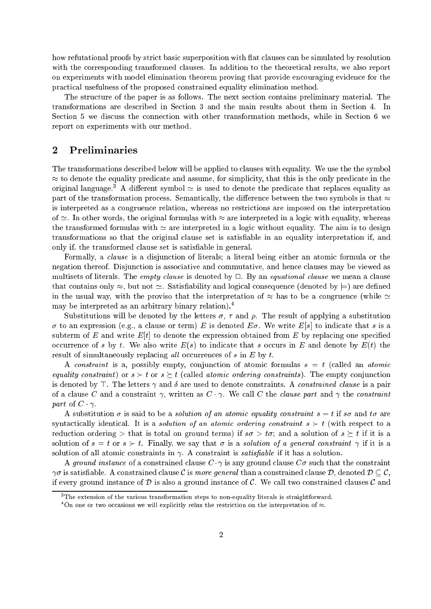how refutational proofs by strict basic superposition with flat clauses can be simulated by resolution with the corresponding transformed clauses. In addition to the theoretical results, we also report on experiments with model elimination theorem proving that provide encouraging evidence for the practical usefulness of the proposed constrained equality elimination method.

The structure of the paper is as follows. The next section contains preliminary material. The transformations are described in Section 3 and the main results about them in Section 4. In Section 5 we discuss the connection with other transformation methods, while in Section 6 we report on experiments with our method.

# 2 Preliminaries

The transformations described below will be applied to clauses with equality. We use the the symbol  $\approx$  to denote the equality predicate and assume, for simplicity, that this is the only predicate in the original language.<sup>3</sup> A different symbol  $\simeq$  is used to denote the predicate that replaces equality as part of the transformation process. Semantically, the difference between the two symbols is that  $\approx$ is interpreted as a congruence relation, whereas no restrictions are imposed on the interpretation of  $\simeq$ . In other words, the original formulas with  $\approx$  are interpreted in a logic with equality, whereas the transformed formulas with  $\simeq$  are interpreted in a logic without equality. The aim is to design transformations so that the original clause set is satisable in an equality interpretation if, and only if, the transformed clause set is satisfiable in general.

Formally, a clause is a disjunction of literals; a literal being either an atomic formula or the negation thereof. Disjunction is associative and commutative, and hence clauses may be viewed as multisets of literals. The *empty clause* is denoted by  $\Box$ . By an *equational clause* we mean a clause that contains only  $\approx$ , but not  $\approx$ . Satisfiability and logical consequence (denoted by  $\models$ ) are defined in the usual way, with the proviso that the interpretation of  $\approx$  has to be a congruence (while  $\approx$ may be interpreted as an arbitrary binary relation).<sup>4</sup>

Substitutions will be denoted by the letters  $\sigma$ ,  $\tau$  and  $\rho$ . The result of applying a substitution  $\sigma$  to an expression (e.g., a clause or term) E is denoted  $E\sigma$ . We write  $E[s]$  to indicate that s is a subterm of  $E$  and write  $E[t]$  to denote the expression obtained from  $E$  by replacing one specified occurrence of s by t. We also write  $E(s)$  to indicate that s occurs in E and denote by  $E(t)$  the result of simultaneously replacing all occurrences of s in  $E$  by t.

A constraint is a, possibly empty, conjunction of atomic formulas  $s = t$  (called an atomic equality constraint) or  $s > t$  or  $s \geq t$  (called atomic ordering constraints). The empty conjunction is denoted by  $\top$ . The letters  $\gamma$  and  $\delta$  are used to denote constraints. A *constrained clause* is a pair of a clause C and a constraint  $\gamma$ , written as  $C \cdot \gamma$ . We call C the *clause part* and  $\gamma$  the *constraint* part of  $C \cdot \gamma$ .

A substitution  $\sigma$  is said to be a *solution of an atomic equality constraint*  $s = t$  if  $s\sigma$  and  $t\sigma$  are syntactically identical. It is a *solution of an atomic ordering constraint*  $s \succ t$  (with respect to a reduction ordering  $>$  that is total on ground terms) if  $s\sigma > t\sigma$ ; and a solution of  $s \geq t$  if it is a solution of  $s = t$  or  $s > t$ . Finally, we say that  $\sigma$  is a solution of a general constraint  $\gamma$  if it is a solution of all atomic constraints in  $\gamma$ . A constraint is *satisfiable* if it has a solution.

A ground instance of a constrained clause  $C \cdot \gamma$  is any ground clause  $C\sigma$  such that the constraint  $\gamma\sigma$  is satisfiable. A constrained clause C is more general than a constrained clause D, denoted  $D\subseteq\mathcal{C}$ , if every ground instance of D is also a ground instance of C. We call two constrained clauses C and

The extension of the various transformation steps to non-equality literals is straightforward.  $\,$ 

On one or two occasions we will explicitly relax the restriction on the interpretation of  $\approx$ .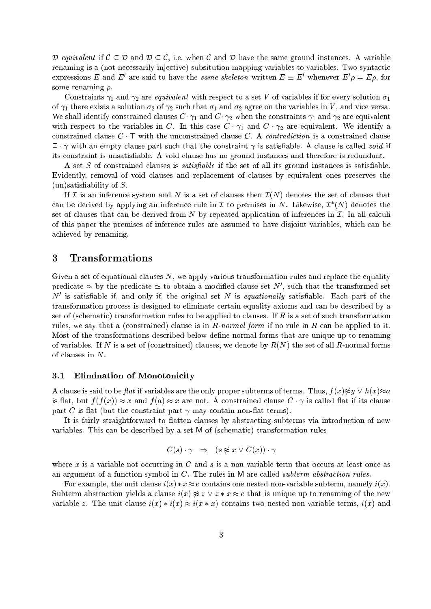D equivalent if  $C \subseteq D$  and  $D \subseteq C$ , i.e. when C and D have the same ground instances. A variable renaming is a (not necessarily injective) subsitution mapping variables to variables. Two syntactic expressions E and E are said to have the *same skeleton* written  $E \equiv E$  whenever  $E \rho = E \rho$ , for some renaming  $\rho$ .

Constraints  $\gamma_1$  and  $\gamma_2$  are *equivalent* with respect to a set V of variables if for every solution  $\sigma_1$ of  $\gamma_1$  there exists a solution  $\sigma_2$  of  $\gamma_2$  such that  $\sigma_1$  and  $\sigma_2$  agree on the variables in V, and vice versa. We shall identify constrained clauses  $C \cdot \gamma_1$  and  $C \cdot \gamma_2$  when the constraints  $\gamma_1$  and  $\gamma_2$  are equivalent with respect to the variables in C. In this case  $C \cdot \gamma_1$  and  $C \cdot \gamma_2$  are equivalent. We identify a constrained clause  $C \cdot \top$  with the unconstrained clause C. A contradiction is a constrained clause  $\Box \cdot \gamma$  with an empty clause part such that the constraint  $\gamma$  is satisfiable. A clause is called void if its constraint is unsatisable. A void clause has no ground instances and therefore is redundant.

A set  $S$  of constrained clauses is *satisfiable* if the set of all its ground instances is satisfiable. Evidently, removal of void clauses and replacement of clauses by equivalent ones preserves the  $(un)$  satisfiability of  $S$ .

If I is an inference system and N is a set of clauses then  $\mathcal{I}(N)$  denotes the set of clauses that can be derived by applying an inference rule in  $L$  to premises in  $N$ . Likewise,  $L$  (N) denotes the set of clauses that can be derived from N by repeated application of inferences in  $\mathcal{I}$ . In all calculi of this paper the premises of inference rules are assumed to have disjoint variables, which can be achieved by renaming.

# 3 Transformations

Given a set of equational clauses  $N$ , we apply various transformation rules and replace the equality predicate  $\approx$  by the predicate  $\simeq$  to obtain a modified clause set IV , such that the transformed set  $\alpha$  is satisfiable if, and only if, the original set  $N$  is *equationally* satisfiable. Each part of the transformation process is designed to eliminate certain equality axioms and can be described by a set of (schematic) transformation rules to be applied to clauses. If  $R$  is a set of such transformation rules, we say that a (constrained) clause is in  $R$ -normal form if no rule in  $R$  can be applied to it. Most of the transformations described below define normal forms that are unique up to renaming of variables. If N is a set of (constrained) clauses, we denote by  $R(N)$  the set of all R-normal forms of clauses in N.

#### 3.1 Elimination of Monotonicity

A clause is said to be flat if variables are the only proper subterms of terms. Thus,  $f(x)\not\approx y \vee h(x)\approx a$ is flat, but  $f(f(x)) \approx x$  and  $f(a) \approx x$  are not. A constrained clause  $C \cdot \gamma$  is called flat if its clause part C is flat (but the constraint part  $\gamma$  may contain non-flat terms).

It is fairly straightforward to flatten clauses by abstracting subterms via introduction of new variables. This can be described by a set <sup>M</sup> of (schematic) transformation rules

$$
C(s)\cdot\gamma\;\;\Rightarrow\;\;(s\not\approx x\,\vee\,C(x))\cdot\gamma
$$

where x is a variable not occurring in C and s is a non-variable term that occurs at least once as an argument of a function symbol in  $C$ . The rules in M are called *subterm abstraction rules*.

For example, the unit clause  $i(x) * x \approx e$  contains one nested non-variable subterm, namely  $i(x)$ . Subterm abstraction yields a clause  $i(x) \not\approx z \vee z * x \approx e$  that is unique up to renaming of the new variable z. The unit clause  $i(x) * i(x) \approx i(x * x)$  contains two nested non-variable terms,  $i(x)$  and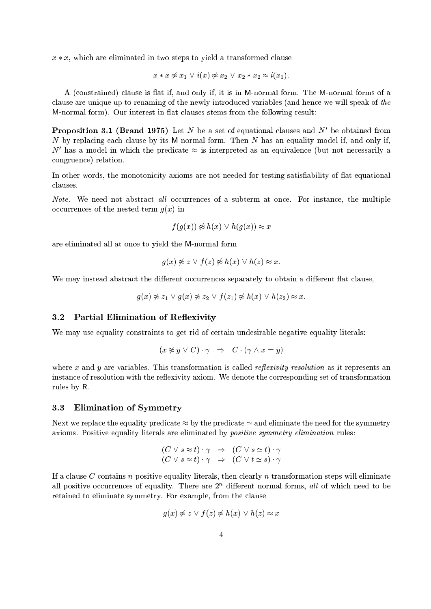$x * x$ , which are eliminated in two steps to yield a transformed clause

$$
x * x \not\approx x_1 \lor i(x) \not\approx x_2 \lor x_2 * x_2 \approx i(x_1).
$$

A (constrained) clause is flat if, and only if, it is in M-normal form. The M-normal forms of a clause are unique up to renaming of the newly introduced variables (and hence we will speak of the M-normal form). Our interest in flat clauses stems from the following result:

**Proposition 3.1 (Drand 1973)** Let  $N$  be a set of equational clauses and  $N$  be obtained from N by replacing each clause by its M-normal form. Then N has an equality model if, and only if,  $\nu$  -nas a model in which the predicate  $\approx$  is interpreted as an equivalence (but not necessarily a congruence) relation.

In other words, the monotonicity axioms are not needed for testing satisfiability of flat equational

Note. We need not abstract all occurrences of a subterm at once. For instance, the multiple occurrences of the nested term  $g(x)$  in

$$
f(g(x)) \not\approx h(x) \lor h(g(x)) \approx x
$$

are eliminated all at once to yield the M-normal form

$$
g(x) \not\approx z \vee f(z) \not\approx h(x) \vee h(z) \approx x.
$$

We may instead abstract the different occurrences separately to obtain a different flat clause,

$$
g(x) \not\approx z_1 \vee g(x) \not\approx z_2 \vee f(z_1) \not\approx h(x) \vee h(z_2) \approx x.
$$

#### 3.2 Partial Elimination of Reflexivity

We may use equality constraints to get rid of certain undesirable negative equality literals:

$$
(x \not\approx y \lor C) \cdot \gamma \quad \Rightarrow \quad C \cdot (\gamma \land x = y)
$$

where x and y are variables. This transformation is called *reflexivity resolution* as it represents an instance of resolution with the reflexivity axiom. We denote the corresponding set of transformation rules by R.

#### 3.3 Elimination of Symmetry

Next we replace the equality predicate  $\approx$  by the predicate  $\simeq$  and eliminate the need for the symmetry axioms. Positive equality literals are eliminated by *positive symmetry elimination* rules:

$$
(C \lor s \approx t) \cdot \gamma \Rightarrow (C \lor s \simeq t) \cdot \gamma
$$
  

$$
(C \lor s \approx t) \cdot \gamma \Rightarrow (C \lor t \simeq s) \cdot \gamma
$$

If a clause C contains n positive equality literals, then clearly n transformation steps will eliminate all positive occurrences of equality. There are 21 different hormal forms, *all* of which need to be retained to eliminate symmetry. For example, from the clause

$$
g(x) \not\approx z \vee f(z) \not\approx h(x) \vee h(z) \approx x
$$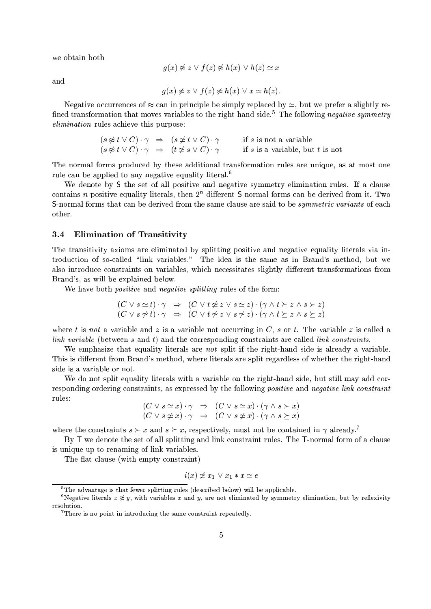we obtain both

$$
g(x) \not\approx z \vee f(z) \not\approx h(x) \vee h(z) \simeq x
$$

and

$$
g(x) \not\approx z \lor f(z) \not\approx h(x) \lor x \simeq h(z).
$$

Negative occurrences of  $\approx$  can in principle be simply replaced by  $\approx$ , but we prefer a slightly re- ${\rm mne}$  transformation that moves variables to the right-hand side. The following  $neq$  ally symmetry elimination rules achieve this purpose:

$$
(s \not\approx t \vee C) \cdot \gamma \Rightarrow (s \not\simeq t \vee C) \cdot \gamma \quad \text{if } s \text{ is not a variable}
$$
  

$$
(s \not\approx t \vee C) \cdot \gamma \Rightarrow (t \not\simeq s \vee C) \cdot \gamma \quad \text{if } s \text{ is a variable, but } t \text{ is not}
$$

The normal forms produced by these additional transformation rules are unique, as at most one rule can be applied to any negative equality literal.6

We denote by S the set of all positive and negative symmetry elimination rules. If a clause contains  $n$  positive equality literals, then  $2^{n}$  different  ${\mathsf 5{\text{-}normal}}$  forms can be derived from it. Two S-normal forms that can be derived from the same clause are said to be *symmetric variants* of each

#### 3.4 Elimination of Transitivity  $3.4$

The transitivity axioms are eliminated by splitting positive and negative equality literals via introduction of so-called \link variables." The idea is the same as in Brand's method, but we also introduce constraints on variables, which necessitates slightly different transformations from Brand's, as will be explained below.

We have both *positive* and *negative splitting* rules of the form:

$$
(C \lor s \simeq t) \cdot \gamma \Rightarrow (C \lor t \nleq z \lor s \simeq z) \cdot (\gamma \land t \succeq z \land s \succ z)
$$
  

$$
(C \lor s \nleq t) \cdot \gamma \Rightarrow (C \lor t \nleq z \lor s \nleq z) \cdot (\gamma \land t \succeq z \land s \succeq z)
$$

where t is not a variable and z is a variable not occurring in C, s or t. The variable z is called a link variable (between s and t) and the corresponding constraints are called link constraints.

We emphasize that equality literals are not split if the right-hand side is already a variable. This is different from Brand's method, where literals are split regardless of whether the right-hand side is a variable or not.

We do not split equality literals with a variable on the right-hand side, but still may add corresponding ordering constraints, as expressed by the following *positive* and *negative link constraint* rules:

$$
(C \lor s \simeq x) \cdot \gamma \Rightarrow (C \lor s \simeq x) \cdot (\gamma \land s \succ x)
$$
  

$$
(C \lor s \ncong x) \cdot \gamma \Rightarrow (C \lor s \ncong x) \cdot (\gamma \land s \succeq x)
$$

where the constraints  $s > x$  and  $s \geq x$ , respectively, must not be contained in  $\gamma$  already.<sup>7</sup>

By <sup>T</sup> we denote the set of all splitting and link constraint rules. The T-normal form of a clause is unique up to renaming of link variables.

The flat clause (with empty constraint)

$$
i(x) \not\simeq x_1 \vee x_1 * x \simeq e
$$

<sup>5</sup> The advantage is that fewer splitting rules (described below) will be applicable.

Negative literals  $x \approx y$ , with variables  $x$  and  $y$ , are not eliminated by symmetry elimination, but by reflexivity resolution.

<sup>7</sup> There is no point in introducing the same constraint repeatedly.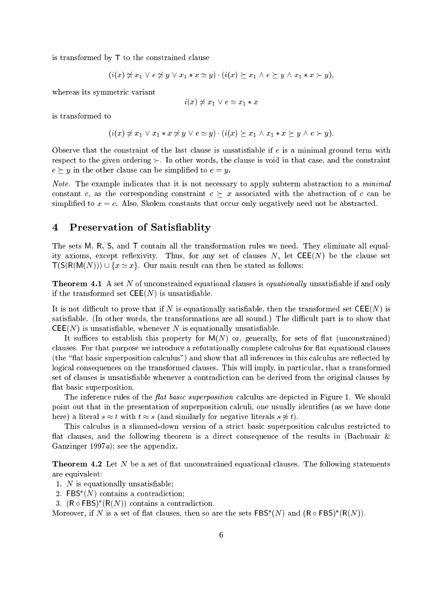is transformed by <sup>T</sup> to the constrained clause

$$
(i(x) \not\simeq x_1 \lor e \not\simeq y \lor x_1 * x \simeq y) \cdot (i(x) \succeq x_1 \land e \succeq y \land x_1 * x \succ y),
$$

whereas its symmetric variant

$$
i(x) \not\simeq x_1 \lor e \simeq x_1 * x
$$

is transformed to

$$
(i(x) \not\simeq x_1 \lor x_1 * x \not\simeq y \lor e \simeq y) \cdot (i(x) \succeq x_1 \land x_1 * x \succeq y \land e \succ y).
$$

Observe that the constraint of the last clause is unsatisfiable if  $e$  is a minimal ground term with respect to the given ordering  $\succ$ . In other words, the clause is void in that case, and the constraint  $e \succ y$  in the other clause can be simplified to  $e = y$ .

Note. The example indicates that it is not necessary to apply subterm abstraction to a minimal constant c, as the corresponding constraint  $c \succeq x$  associated with the abstraction of c can be simplified to  $x = c$ . Also, Skolem constants that occur only negatively need not be abstracted.

#### 4 Preservation of Satisfiablity

The sets M, R, S, and <sup>T</sup> contain all the transformation rules we need. They eliminate all equality axioms, except reflexivity. Thus, for any set of clauses  $N$ , let  $\mathsf{CEE}(N)$  be the clause set  $T(S(R(M(N))) \cup \{x \simeq x\}$ . Our main result can then be stated as follows:

**Theorem 4.1** A set N of unconstrained equational clauses is *equationally* unsatisfiable if and only if the transformed set  $\mathsf{CEE}(N)$  is unsatisfiable.

It is not difficult to prove that if N is equationally satisfiable, then the transformed set  $\mathsf{CEE}(N)$  is satisfiable. (In other words, the transformations are all sound.) The difficult part is to show that  $\mathsf{CEE}(N)$  is unsatisfiable, whenever N is equationally unsatisfiable.

It suffices to establish this property for  $M(N)$  or, generally, for sets of flat (unconstrained) clauses. For that purpose we introduce a refutationally complete calculus for flat equational clauses (the "flat basic superposition calculus") and show that all inferences in this calculus are reflected by logical consequences on the transformed clauses. This will imply, in particular, that a transformed set of clauses is unsatisfiable whenever a contradiction can be derived from the original clauses by flat basic superposition.

The inference rules of the *flat basic superposition* calculus are depicted in Figure 1. We should point out that in the presentation of superposition calculi, one usually identifies (as we have done here) a literal  $s \approx t$  with  $t \approx s$  (and similarly for negative literals  $s \not\approx t$ ).

This calculus is a slimmed-down version of a strict basic superposition calculus restricted to flat clauses, and the following theorem is a direct consequence of the results in (Bachmair  $\&$ Ganzinger 1997a); see the appendix.

**Theorem 4.2** Let N be a set of flat unconstrained equational clauses. The following statements are equivalent:

- 1.  $N$  is equationally unsatisfiable;
- 2. FBS (N) contains a contradiction;
- $3.$  (K  $\circ$  FBS) (K(IV)) contains a contradiction.

Moreover, if *i*v is a set of flat clauses, then so are the sets FBS (*iv*) and (**R**  $\circ$  FBS) (R(*iv*)).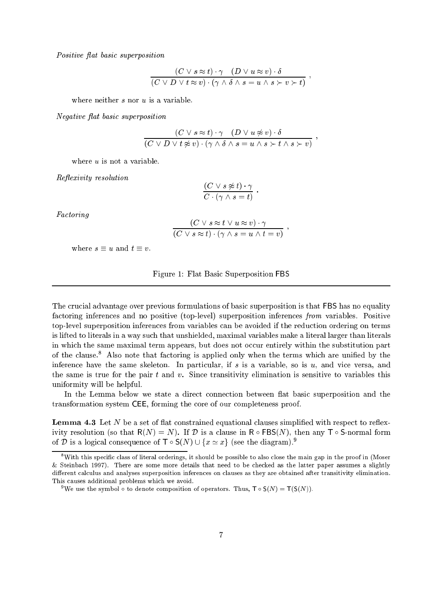Positive flat basic superposition

$$
\frac{(C \vee s \approx t) \cdot \gamma \quad (D \vee u \approx v) \cdot \delta}{(C \vee D \vee t \approx v) \cdot (\gamma \wedge \delta \wedge s = u \wedge s \succ v \succ t)},
$$

Negative flat basic superposition

$$
\frac{(C \vee s \approx t) \cdot \gamma \quad (D \vee u \not\approx v) \cdot \delta}{(C \vee D \vee t \not\approx v) \cdot (\gamma \wedge \delta \wedge s = u \wedge s \succ t \wedge s \succ v)},
$$

where  $u$  is not a variable.

Reflexivity resolution

$$
\frac{(C \vee s \not\approx t) \cdot \gamma}{C \cdot (\gamma \wedge s = t)}.
$$

Factoring

$$
\frac{(C \vee s \approx t \vee u \approx v) \cdot \gamma}{(C \vee s \approx t) \cdot (\gamma \wedge s = u \wedge t = v)}
$$

;

where  $s \equiv u$  and  $t \equiv v$ .

Figure 1: Flat Basic Superposition FBS

The crucial advantage over previous formulations of basic superposition is that FBS has no equality factoring inferences and no positive (top-level) superposition inferences from variables. Positive top-level superposition inferences from variables can be avoided if the reduction ordering on terms is lifted to literals in a way such that unshielded, maximal variables make a literal larger than literals in which the same maximal term appears, but does not occur entirely within the substitution part of the clause.<sup>8</sup> Also note that factoring is applied only when the terms which are unified by the inference have the same skeleton. In particular, if s is a variable, so is  $u$ , and vice versa, and the same is true for the pair  $t$  and  $v$ . Since transitivity elimination is sensitive to variables this uniformity will be helpful.

In the Lemma below we state a direct connection between flat basic superposition and the transformation system CEE, forming the core of our completeness proof.

**Lemma 4.3** Let N be a set of flat constrained equational clauses simplified with respect to reflexivity resolution (so that  $R(N) = N$ ). If  $\mathcal D$  is a clause in  $R \circ FBS(N)$ , then any  $T \circ S$ -normal form of D is a logical consequence of  $\mathsf{T} \circ \mathsf{S}(N) \cup \{x \simeq x\}$  (see the diagram).<sup>9</sup>

<sup>&</sup>lt;sup>8</sup>With this specific class of literal orderings, it should be possible to also close the main gap in the proof in (Moser  $\&$  Steinbach 1997). There are some more details that need to be checked as the latter paper assumes a slightly different calculus and analyses superposition inferences on clauses as they are obtained after transitivity elimination. This causes additional problems which we avoid.

<sup>&</sup>lt;sup>9</sup>We use the symbol  $\circ$  to denote composition of operators. Thus,  $T \circ S(N) = T(S(N))$ .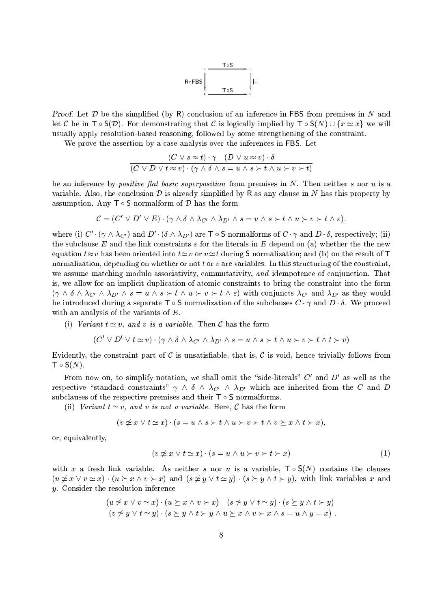

**Proof.** Let  $\mathcal{D}$  be the simplified (by R) conclusion of an inference in FBS from premises in N and let C be in  $\mathsf{T} \circ \mathsf{S}(\mathcal{D})$ . For demonstrating that C is logically implied by  $\mathsf{T} \circ \mathsf{S}(N) \cup \{x \simeq x\}$  we will usually apply resolution-based reasoning, followed by some strengthening of the constraint.

We prove the assertion by a case analysis over the inferences in FBS. Let

$$
\frac{(C \vee s \approx t) \cdot \gamma \quad (D \vee u \approx v) \cdot \delta}{(C \vee D \vee t \approx v) \cdot (\gamma \wedge \delta \wedge s = u \wedge s \succ t \wedge u \succ v \succ t)}
$$

be an inference by *positive flat basic superposition* from premises in  $N$ . Then neither s nor  $u$  is a variable. Also, the conclusion  $D$  is already simplified by R as any clause in N has this property by assumption. Any  $T \circ S$ -normalform of  $D$  has the form

$$
\mathcal{C} = (C' \vee D' \vee E) \cdot (\gamma \wedge \delta \wedge \lambda_{C'} \wedge \lambda_{D'} \wedge s = u \wedge s \succ t \wedge u \succ v \succ t \wedge \varepsilon).
$$

where (i)  $C_0 \setminus \Delta_{C_1}$  and  $D_1 \setminus \Delta_{D_1}$  are T  $\circ$  5-normalforms of  $C_1 \gamma$  and  $D_2 \sigma$ , respectively; (ii) the subclause E and the link constraints  $\varepsilon$  for the literals in E depend on (a) whether the the new equation  $t \approx v$  has been oriented into  $t \approx v$  or  $v \approx t$  during S normalization; and (b) on the result of T normalization, depending on whether or not t or v are variables. In this structuring of the constraint, we assume matching modulo associativity, commutativity, and idempotence of conjunction. That is, we allow for an implicit duplication of atomic constraints to bring the constraint into the form  $(\gamma \wedge \delta \wedge \lambda_{C'} \wedge \lambda_{D'} \wedge s = u \wedge s \succ t \wedge u \succ v \succ t \wedge \varepsilon)$  with conjuncts  $\lambda_{C'}$  and  $\lambda_{D'}$  as they would be introduced during a separate  $\mathsf{T} \circ \mathsf{S}$  normalization of the subclauses  $C \cdot \gamma$  and  $D \cdot \delta$ . We proceed with an analysis of the variants of E.

(i) Variant  $t \simeq v$ , and v is a variable. Then C has the form

$$
(C' \vee D' \vee t \simeq v) \cdot (\gamma \wedge \delta \wedge \lambda_{C'} \wedge \lambda_{D'} \wedge s = u \wedge s \succ t \wedge u \succ v \succ t \wedge t \succ v)
$$

Evidently, the constraint part of C is unsatisfiable, that is, C is void, hence trivially follows from  $\mathsf{T} \circ \mathsf{S}(N)$ .

From now on, to simplify notation, we shall omit the  $\,$  side-literals  $\,$  C  $\,$  and  $D\,$  as well as the respective "standard constraints"  $\gamma \wedge \delta \wedge \lambda_{C'} \wedge \lambda_{D'}$  which are inherited from the C and D subclauses of the respective premises and their  $\mathsf{T} \circ \mathsf{S}$  normalforms.

(ii) Variant  $t \simeq v$ , and v is not a variable. Here, C has the form

$$
(v \not\simeq x \lor t \simeq x) \cdot (s = u \land s \succ t \land u \succ v \succ t \land v \succeq x \land t \succ x),
$$

or, equivalently,

$$
(v \nleq x \lor t \simeq x) \cdot (s = u \land u \succ v \succ t \succ x) \tag{1}
$$

with x a fresh link variable. As neither s nor u is a variable,  $T \circ S(N)$  contains the clauses  $(u \not\approx x \vee v \approx x) \cdot (u \succ x \wedge v \succ x)$  and  $(s \not\approx y \vee t \approx y) \cdot (s \succ y \wedge t \succ y)$ , with link variables x and y. Consider the resolution inference

$$
\frac{(u \neq x \lor v \simeq x) \cdot (u \succeq x \land v \succ x) \quad (s \neq y \lor t \simeq y) \cdot (s \succeq y \land t \succ y)}{(v \neq y \lor t \simeq y) \cdot (s \succeq y \land t \succ y \land u \succeq x \land v \succ x \land s = u \land y = x)}.
$$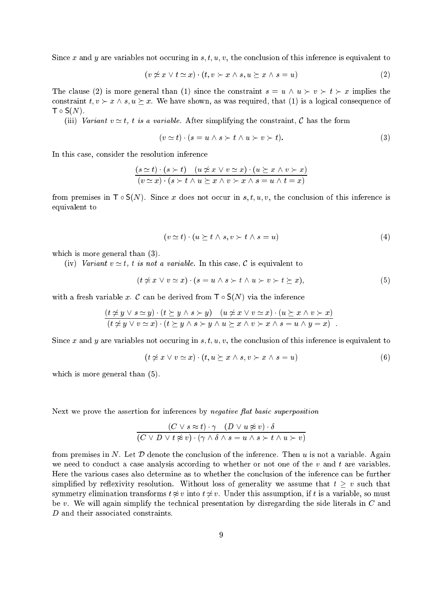Since x and y are variables not occuring in  $s, t, u, v$ , the conclusion of this inference is equivalent to

$$
(v \neq x \lor t \simeq x) \cdot (t, v \succ x \land s, u \succeq x \land s = u) \tag{2}
$$

The clause (2) is more general than (1) since the constraint  $s = u \wedge u \succ v \succ t \succ x$  implies the constraint  $t, v \succ x \land s, u \succeq x$ . We have shown, as was required, that (1) is a logical consequence of  $\mathsf{T} \circ \mathsf{S}(N)$ .

(iii) Variant  $v \simeq t$ , t is a variable. After simplifying the constraint, C has the form

$$
(v \simeq t) \cdot (s = u \wedge s \succ t \wedge u \succ v \succ t). \tag{3}
$$

In this case, consider the resolution inference

$$
\frac{(s \simeq t) \cdot (s \succ t) \quad (u \not\simeq x \lor v \simeq x) \cdot (u \succeq x \land v \succ x)}{(v \simeq x) \cdot (s \succ t \land u \succeq x \land v \succ x \land s = u \land t = x)}
$$

from premises in  $\mathsf{T} \circ \mathsf{S}(N)$ . Since x does not occur in s, t, u, v, the conclusion of this inference is equivalent to

$$
(v \simeq t) \cdot (u \succeq t \wedge s, v \succ t \wedge s = u) \tag{4}
$$

which is more general than  $(3)$ .

(iv) Variant  $v \simeq t$ , t is not a variable. In this case, C is equivalent to

$$
(t \neq x \lor v \simeq x) \cdot (s = u \land s \succ t \land u \succ v \succ t \succeq x), \tag{5}
$$

with a fresh variable x. C can be derived from  $\mathsf{T} \circ \mathsf{S}(N)$  via the inference

$$
\frac{(t \neq y \lor s \simeq y) \cdot (t \succeq y \land s \succ y) \quad (u \neq x \lor v \simeq x) \cdot (u \succeq x \land v \succ x)}{(t \neq y \lor v \simeq x) \cdot (t \succeq y \land s \succ y \land u \succeq x \land v \succ x \land s = u \land y = x)}.
$$

Since x and y are variables not occuring in s, t, u, v, the conclusion of this inference is equivalent to

$$
(t \neq x \lor v \simeq x) \cdot (t, u \succeq x \land s, v \succ x \land s = u) \tag{6}
$$

which is more general than  $(5)$ .

Next we prove the assertion for inferences by *negative flat basic superposition* 

$$
\frac{(C \lor s \approx t) \cdot \gamma \quad (D \lor u \not\approx v) \cdot \delta}{(C \lor D \lor t \not\approx v) \cdot (\gamma \land \delta \land s = u \land s \succ t \land u \succ v)}
$$

from premises in N. Let  $\mathcal D$  denote the conclusion of the inference. Then u is not a variable. Again we need to conduct a case analysis according to whether or not one of the  $v$  and  $t$  are variables. Here the various cases also determine as to whether the conclusion of the inference can be further simplified by reflexivity resolution. Without loss of generality we assume that  $t \geq v$  such that symmetry elimination transforms  $t \not\approx v$  into  $t \not\approx v$ . Under this assumption, if t is a variable, so must be v. We will again simplify the technical presentation by disregarding the side literals in  $C$  and <sup>D</sup> and their associated constraints.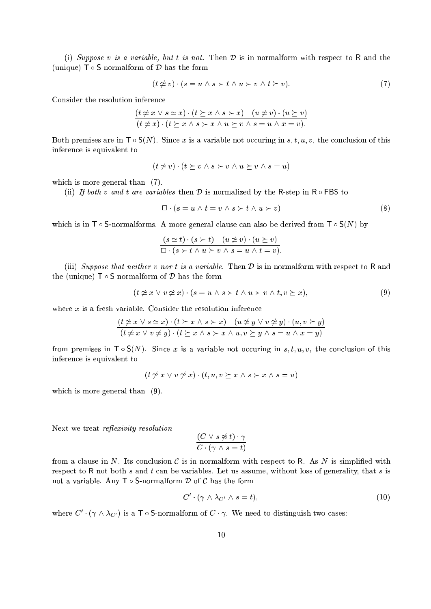(i) Suppose v is a variable, but t is not. Then  $\mathcal D$  is in normalform with respect to R and the (unique)  $\mathsf{T} \circ \mathsf{S}\text{-normalform}$  of  $\mathcal D$  has the form

$$
(t \neq v) \cdot (s = u \land s \succ t \land u \succ v \land t \succeq v). \tag{7}
$$

Consider the resolution inference

$$
\frac{(t \neq x \lor s \simeq x) \cdot (t \succeq x \land s \succ x) \quad (u \neq v) \cdot (u \succeq v)}{(t \neq x) \cdot (t \succeq x \land s \succ x \land u \succeq v \land s = u \land x = v)}.
$$

Both premises are in  $\mathsf{T} \circ \mathsf{S}(N)$ . Since x is a variable not occuring in s, t, u, v, the conclusion of this inference is equivalent to

$$
(t \neq v) \cdot (t \geq v \land s \succ v \land u \succeq v \land s = u)
$$

which is more general than  $(7)$ .

(ii) If both v and t are variables then  $\mathcal D$  is normalized by the R-step in R  $\circ$  FBS to

 $\Box \cdot (s = u \wedge t = v \wedge s \succ t \wedge u \succ v)$  (8)

which is in  $\mathsf{T} \circ \mathsf{S}\text{-normalforms}$ . A more general clause can also be derived from  $\mathsf{T} \circ \mathsf{S}(N)$  by

$$
\frac{(s \simeq t) \cdot (s \succ t) \quad (u \not\simeq v) \cdot (u \succeq v)}{\square \cdot (s \succ t \land u \succeq v \land s = u \land t = v)}.
$$

(iii) Suppose that neither v nor t is a variable. Then  $D$  is in normalform with respect to R and the (unique)  $\mathsf{T} \circ \mathsf{S}\text{-normalform}$  of  $\mathcal D$  has the form

$$
(t \nsuparrow x \lor v \nsuparrow x) \cdot (s = u \land s \succ t \land u \succ v \land t, v \succeq x), \tag{9}
$$

where  $x$  is a fresh variable. Consider the resolution inference

$$
\frac{(t \neq x \lor s \simeq x) \cdot (t \succeq x \land s \succ x) \quad (u \neq y \lor v \neq y) \cdot (u, v \succeq y)}{(t \neq x \lor v \neq y) \cdot (t \succeq x \land s \succ x \land u, v \succeq y \land s = u \land x = y)}
$$

from premises in  $\mathsf{T} \circ \mathsf{S}(N)$ . Since x is a variable not occuring in s, t, u, v, the conclusion of this inference is equivalent to

 $(t \not\simeq x \lor v \not\simeq x) \cdot (t, u, v \succeq x \land s \succ x \land s = u)$ 

which is more general than  $(9)$ .

Next we treat *reflexivity resolution* 

$$
\frac{(C \lor s \not\approx t) \cdot \gamma}{C \cdot (\gamma \land s = t)}
$$

from a clause in  $N$ . Its conclusion  $C$  is in normalform with respect to R. As  $N$  is simplified with respect to R not both  $s$  and  $t$  can be variables. Let us assume, without loss of generality, that  $s$  is not a variable. Any  $\mathsf{T} \circ \mathsf{S}\text{-normalform} \mathcal{D}$  of  $\mathcal C$  has the form

$$
C' \cdot (\gamma \wedge \lambda_{C'} \wedge s = t), \tag{10}
$$

where  $C \cdot (\gamma \wedge \lambda_{C'})$  is a T  $\circ$  5-normalform of  $C \cdot \gamma$ . We need to distinguish two cases: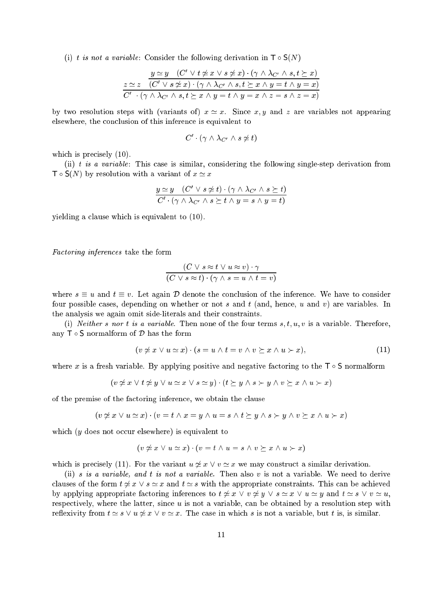(i) t is not a variable: Consider the following derivation in  $\mathsf{T} \circ \mathsf{S}(N)$ 

$$
\frac{y \simeq y \quad (C' \lor t \nleq x \lor s \nleq x) \cdot (\gamma \land \lambda_{C'} \land s, t \succeq x)}{(C' \lor s \nleq x) \cdot (\gamma \land \lambda_{C'} \land s, t \succeq x \land y = t \land y = x)}
$$
  

$$
\frac{C' \cdot (\gamma \land \lambda_{C'} \land s, t \succeq x \land y = t \land y = x \land z = s \land z = x)}{C' \cdot (\gamma \land \lambda_{C'} \land s, t \succeq x \land y = t \land y = x \land z = s \land z = x)}
$$

by two resolution steps with (variants of)  $x \approx x$ . Since x, y and z are variables not appearing elsewhere, the conclusion of this inference is equivalent to

$$
C' \cdot (\gamma \wedge \lambda_{C'} \wedge s \neq t)
$$

which is precisely (10).

(ii) t is a variable: This case is similar, considering the following single-step derivation from  $\mathsf{T} \circ \mathsf{S}(N)$  by resolution with a variant of  $x \simeq x$ 

$$
\frac{y \simeq y \quad (C' \lor s \nleq t) \cdot (\gamma \land \lambda_{C'} \land s \succeq t)}{C' \cdot (\gamma \land \lambda_{C'} \land s \succeq t \land y = s \land y = t)}
$$

yielding a clause which is equivalent to (10).

Factoring inferences take the form

$$
\frac{(C \vee s \approx t \vee u \approx v) \cdot \gamma}{(C \vee s \approx t) \cdot (\gamma \wedge s = u \wedge t = v)}
$$

where  $s \equiv u$  and  $t \equiv v$ . Let again  $\mathcal{D}$  denote the conclusion of the inference. We have to consider four possible cases, depending on whether or not s and t (and, hence, u and v) are variables. In the analysis we again omit side-literals and their constraints.

(i) Neither s nor t is a variable. Then none of the four terms  $s, t, u, v$  is a variable. Therefore, any  $\mathsf{T} \circ \mathsf{S}$  normalform of  $\mathcal{D}$  has the form

$$
(v \not\simeq x \lor u \simeq x) \cdot (s = u \land t = v \land v \succeq x \land u \succ x), \tag{11}
$$

where x is a fresh variable. By applying positive and negative factoring to the  $\mathsf{T} \circ \mathsf{S}$  normalform

$$
(v \neq x \lor t \neq y \lor u \simeq x \lor s \simeq y) \cdot (t \succeq y \land s \succ y \land v \succeq x \land u \succ x)
$$

of the premise of the factoring inference, we obtain the clause

$$
(v \not\simeq x \lor u \simeq x) \cdot (v = t \land x = y \land u = s \land t \succeq y \land s \succ y \land v \succeq x \land u \succ x)
$$

which  $(y \text{ does not occur elsewhere})$  is equivalent to

$$
(v \not\succeq x \lor u \simeq x) \cdot (v = t \land u = s \land v \succ x \land u \succ x)
$$

which is precisely (11). For the variant  $u \neq x \lor v \simeq x$  we may construct a similar derivation.

(ii) s is a variable, and t is not a variable. Then also v is not a variable. We need to derive clauses of the form  $t \neq x \vee s \simeq x$  and  $t \simeq s$  with the appropriate constraints. This can be achieved by applying appropriate factoring inferences to  $t \neq x \lor v \neq y \lor s \simeq x \lor u \simeq y$  and  $t \simeq s \lor v \simeq u$ , respectively, where the latter, since  $u$  is not a variable, can be obtained by a resolution step with reflexivity from  $t \approx s \vee u \not\approx x \vee v \approx x$ . The case in which s is not a variable, but t is, is similar.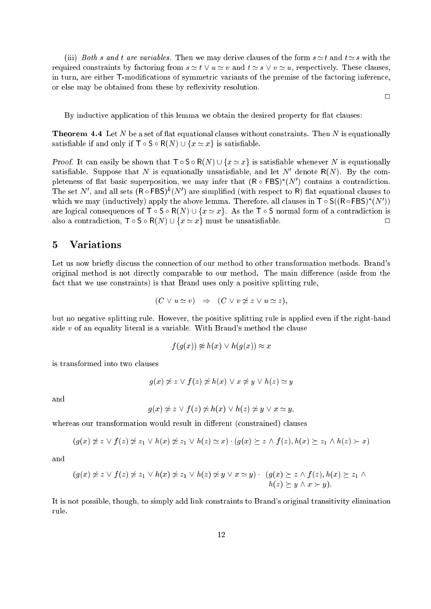(iii) Both s and t are variables. Then we may derive clauses of the form  $s \simeq t$  and  $t \simeq s$  with the required constraints by factoring from  $s \simeq t \vee u \simeq v$  and  $t \simeq s \vee v \simeq u$ , respectively. These clauses, in turn, are either T-modications of symmetric variants of the premise of the factoring inference, or else may be obtained from these by reflexivity resolution.

By inductive application of this lemma we obtain the desired property for flat clauses:

**Theorem 4.4** Let N be a set of flat equational clauses without constraints. Then N is equationally satisfiable if and only if  $\mathsf{T} \circ \mathsf{S} \circ \mathsf{R}(N) \cup \{x \simeq x\}$  is satisfiable.

**Proof.** It can easily be shown that  $\mathsf{T} \circ \mathsf{S} \circ \mathsf{R}(N) \cup \{x \simeq x\}$  is satisfiable whenever N is equationally satisfiable. Suppose that  $N$  is equationally unsatisfiable, and let  $N$  denote  $\mathsf{N}(N)$ . By the completeness of nat basic superposition, we may infer that  $(R \circ FBA)$  (IV) contains a contradiction. I he set IV, and all sets (R  $\circ$  FBS) (IV) are simplified (with respect to R) hat equational clauses to which we may (inductively) apply the above lemma. Therefore, all clauses in T  $\circ$  S((R $\circ$ FBS) (IV )) are logical consequences of  $\mathsf{T} \circ \mathsf{S} \circ \mathsf{R}(N) \cup \{x \simeq x\}$ . As the  $\mathsf{T} \circ \mathsf{S}$  normal form of a contradiction is also a contradiction,  $\mathsf{T} \circ \mathsf{S} \circ \mathsf{R}(N) \cup \{x \simeq x\}$  must be unsatisfiable.

# 5 Variations

Let us now briefly discuss the connection of our method to other transformation methods. Brand's original method is not directly comparable to our method. The main difference (aside from the fact that we use constraints) is that Brand uses only a positive splitting rule,

$$
(C \vee u \simeq v) \Rightarrow (C \vee v \nleq z \vee u \simeq z),
$$

but no negative splitting rule. However, the positive splitting rule is applied even if the right-hand side  $v$  of an equality literal is a variable. With Brand's method the clause

$$
f(g(x)) \not\approx h(x) \lor h(g(x)) \approx x
$$

is transformed into two clauses

$$
g(x) \not\simeq z \lor f(z) \not\simeq h(x) \lor x \not\simeq y \lor h(z) \simeq y
$$

and

$$
g(x) \not\simeq z \lor f(z) \not\simeq h(x) \lor h(z) \not\simeq y \lor x \simeq y,
$$

whereas our transformation would result in different (constrained) clauses

$$
(g(x) \neq z \lor f(z) \neq z_1 \lor h(x) \neq z_1 \lor h(z) \simeq x) \cdot (g(x) \succeq z \land f(z), h(x) \succeq z_1 \land h(z) \succ x)
$$

and

$$
(g(x) \neq z \lor f(z) \neq z_1 \lor h(x) \neq z_1 \lor h(z) \neq y \lor x \simeq y) \cdot (g(x) \succeq z \land f(z), h(x) \succeq z_1 \land h(z) \succeq y \land x \succ y).
$$

It is not possible, though, to simply add link constraints to Brand's original transitivity elimination rule.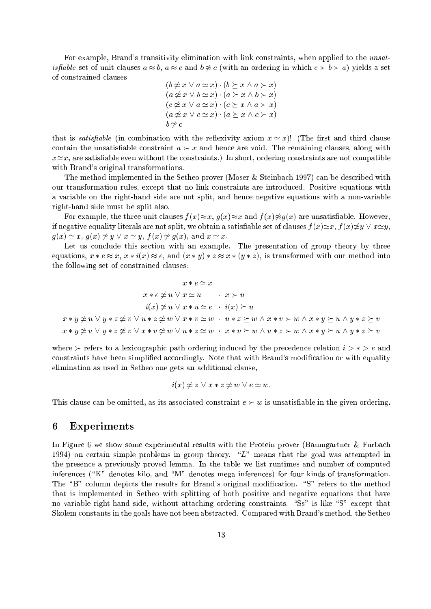For example, Brand's transitivity elimination with link constraints, when applied to the unsat*isfiable* set of unit clauses  $a \approx b$ ,  $a \approx c$  and  $b \not\approx c$  (with an ordering in which  $c \succ b \succ a$ ) yields a set

$$
(b \neq x \lor a \simeq x) \cdot (b \succeq x \land a \succ x) (a \neq x \lor b \simeq x) \cdot (a \succeq x \land b \succ x) (c \neq x \lor a \simeq x) \cdot (c \succeq x \land a \succ x) (a \neq x \lor c \simeq x) \cdot (a \succeq x \land c \succ x) b \neq c
$$

that is *satisfiable* (in combination with the reflexivity axiom  $x \simeq x$ )! (The first and third clause contain the unsatisfiable constraint  $a \succ x$  and hence are void. The remaining clauses, along with  $x \simeq x$ , are satisfiable even without the constraints.) In short, ordering constraints are not compatible with Brand's original transformations.

The method implemented in the Setheo prover (Moser & Steinbach 1997) can be described with our transformation rules, except that no link constraints are introduced. Positive equations with a variable on the right-hand side are not split, and hence negative equations with a non-variable right-hand side must be split also.

For example, the three unit clauses  $f(x) \approx x$ ,  $g(x) \approx x$  and  $f(x) \not\approx g(x)$  are unsatisfiable. However, if negative equality literals are not split, we obtain a satisfiable set of clauses  $f(x) \simeq x$ ,  $f(x) \not\approx y \vee x \simeq y$ ,  $g(x) \simeq x, g(x) \not\approx y \vee x \simeq y, f(x) \not\approx g(x), \text{ and } x \simeq x.$ 

Let us conclude this section with an example. The presentation of group theory by three equations,  $x * e \approx x$ ,  $x * i(x) \approx e$ , and  $(x * y) * z \approx x * (y * z)$ , is transformed with our method into the following set of constrained clauses:

$$
x * e \simeq x
$$
  
\n
$$
x * e \not\simeq u \lor x \simeq u \qquad x \succ u
$$
  
\n
$$
i(x) \not\simeq u \lor x * u \simeq e \qquad i(x) \succeq u
$$
  
\n
$$
x * y \not\simeq u \lor y * z \not\simeq v \lor u * z \not\simeq w \lor x * v \simeq w \qquad u * z \succeq w \land x * v \succ w \land x * y \succeq u \land y * z \succeq v
$$
  
\n
$$
x * y \not\simeq u \lor y * z \not\simeq v \lor x * v \not\simeq w \lor u * z \simeq w \qquad x * v \succeq w \land u * z \succ w \land x * y \succeq u \land y * z \succeq v
$$

where  $\succ$  refers to a lexicographic path ordering induced by the precedence relation  $i > * > e$  and constraints have been simplied accordingly. Note that with Brand's modication or with equality elimination as used in Setheo one gets an additional clause,

$$
i(x) \neq z \lor x * z \neq w \lor e \simeq w.
$$

This clause can be omitted, as its associated constraint  $e \succ w$  is unsatisfiable in the given ordering.

### 6 Experiments

In Figure 6 we show some experimental results with the Protein prover (Baumgartner & Furbach 1994) on certain simple problems in group theory.  $\mu L$ " means that the goal was attempted in the presence a previously proved lemma. In the table we list runtimes and number of computed inferences ("K" denotes kilo, and "M" denotes mega inferences) for four kinds of transformation. The "B" column depicts the results for Brand's original modification. "S" refers to the method that is implemented in Setheo with splitting of both positive and negative equations that have no variable right-hand side, without attaching ordering constraints. "Ss" is like " $S$ " except that Skolem constants in the goals have not been abstracted. Compared with Brand's method, the Setheo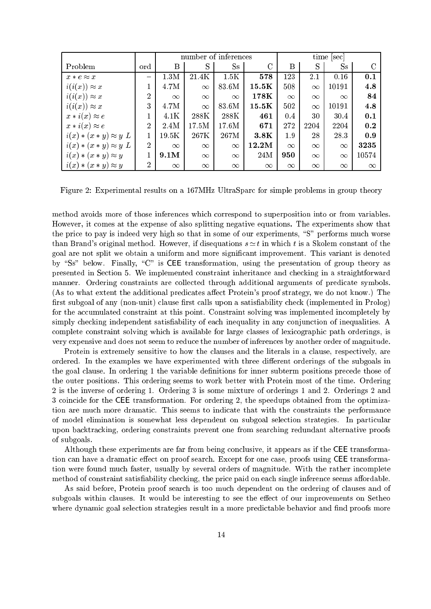|                              |                | number of inferences |          |          | time [sec]        |          |          |          |          |
|------------------------------|----------------|----------------------|----------|----------|-------------------|----------|----------|----------|----------|
| Problem                      | ord            | B                    | S        | $S_{S}$  | $\rm C$           | Β        | S        | $S_{S}$  |          |
| $x * e \approx x$            |                | 1.3M                 | 21.4K    | 1.5K     | 578               | 123      | 2.1      | 0.16     | 0.1      |
| $i(i(x)) \approx x$          | 1              | 4.7M                 | $\infty$ | 83.6M    | $15.5\mathrm{K}$  | 508      | $\infty$ | 10191    | 4.8      |
| $i(i(x)) \approx x$          | $\overline{2}$ | $\infty$             | $\infty$ | $\infty$ | $178\,\mathrm{K}$ | $\infty$ | $\infty$ | $\infty$ | 84       |
| $i(i(x)) \approx x$          | 3              | 4.7M                 | $\infty$ | 83.6M    | $15.5\mathrm{K}$  | 502      | $\infty$ | 10191    | 4.8      |
| $x * i(x) \approx e$         |                | 4.1K                 | 288K     | 288K     | 461               | 0.4      | 30       | 30.4     | 0.1      |
| $x * i(x) \approx e$         | $\overline{2}$ | 2.4M                 | 17.5M    | 17.6M    | 671               | 272      | 2204     | 2204     | 0.2      |
| $i(x) * (x * y) \approx y L$ |                | 19.5K                | 267K     | 267M     | 3.8K              | 1.9      | 28       | 28.3     | 0.9      |
| $i(x) * (x * y) \approx y L$ | $\overline{2}$ | $\infty$             | $\infty$ | $\infty$ | 12.2M             | $\infty$ | $\infty$ | $\infty$ | 3235     |
| $i(x) * (x * y) \approx y$   |                | 9.1M                 | $\infty$ | $\infty$ | 24M               | 950      | $\infty$ | $\infty$ | 10574    |
| $i(x) * (x * y) \approx y$   | $\overline{2}$ | $\infty$             | $\infty$ | $\infty$ | $\infty$          | $\infty$ | $\infty$ | $\infty$ | $\infty$ |

Figure 2: Experimental results on a 167MHz UltraSparc for simple problems in group theory

method avoids more of those inferences which correspond to superposition into or from variables. However, it comes at the expense of also splitting negative equations. The experiments show that the price to pay is indeed very high so that in some of our experiments, "S" performs much worse than Brand's original method. However, if disequations  $s \simeq t$  in which t is a Skolem constant of the goal are not split we obtain a uniform and more signicant improvement. This variant is denoted by "Ss" below. Finally, "C" is CEE transformation, using the presentation of group theory as presented in Section 5. We implemented constraint inheritance and checking in a straightforward manner. Ordering constraints are collected through additional arguments of predicate symbols. (As to what extent the additional predicates affect Protein's proof strategy, we do not know.) The first subgoal of any (non-unit) clause first calls upon a satisfiability check (implemented in Prolog) for the accumulated constraint at this point. Constraint solving was implemented incompletely by simply checking independent satisfiability of each inequality in any conjunction of inequalities. A complete constraint solving which is available for large classes of lexicographic path orderings, is very expensive and does not seem to reduce the number of inferences by another order of magnitude.

Protein is extremely sensitive to how the clauses and the literals in a clause, respectively, are ordered. In the examples we have experimented with three different orderings of the subgoals in the goal clause. In ordering 1 the variable definitions for inner subterm positions precede those of the outer positions. This ordering seems to work better with Protein most of the time. Ordering 2 is the inverse of ordering 1. Ordering 3 is some mixture of orderings 1 and 2. Orderings 2 and 3 coincide for the CEE transformation. For ordering 2, the speedups obtained from the optimization are much more dramatic. This seems to indicate that with the constraints the performance of model elimination is somewhat less dependent on subgoal selection strategies. In particular upon backtracking, ordering constraints prevent one from searching redundant alternative proofs of subgoals.

Although these experiments are far from being conclusive, it appears as if the CEE transformation can have a dramatic effect on proof search. Except for one case, proofs using CEE transformation were found much faster, usually by several orders of magnitude. With the rather incomplete method of constraint satisfiability checking, the price paid on each single inference seems affordable.

As said before, Protein proof search is too much dependent on the ordering of clauses and of subgoals within clauses. It would be interesting to see the effect of our improvements on Setheo where dynamic goal selection strategies result in a more predictable behavior and find proofs more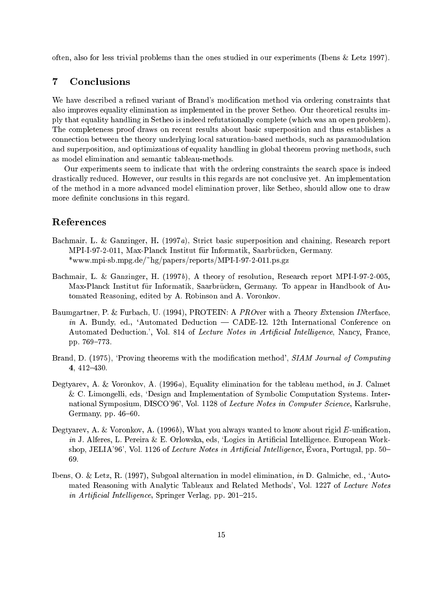often, also for less trivial problems than the ones studied in our experiments (Ibens & Letz 1997).

# 7 Conclusions

We have described a refined variant of Brand's modification method via ordering constraints that also improves equality elimination as implemented in the prover Setheo. Our theoretical results imply that equality handling in Setheo is indeed refutationally complete (which was an open problem). The completeness proof draws on recent results about basic superposition and thus establishes a connection between the theory underlying local saturation-based methods, such as paramodulation and superposition, and optimizations of equality handling in global theorem proving methods, such as model elimination and semantic tableau-methods.

Our experiments seem to indicate that with the ordering constraints the search space is indeed drastically reduced. However, our results in this regards are not conclusive yet. An implementation of the method in a more advanced model elimination prover, like Setheo, should allow one to draw more definite conclusions in this regard.

# References

- Bachmair, L. & Ganzinger, H. (1997a), Strict basic superposition and chaining, Research report MPI-I-97-2-011, Max-Planck Institut fur Informatik, Saarbrucken, Germany. \*www.mpi-sb.mpg.de/~hg/papers/reports/MPI-I-97-2-011.ps.gz
- Bachmair, L. & Ganzinger, H. (1997b), A theory of resolution, Research report MPI-I-97-2-005, Max-Planck Institut fur Informatik, Saarbrucken, Germany. To appear in Handbook of Automated Reasoning, edited by A. Robinson and A. Voronkov.
- Baumgartner, P. & Furbach, U. (1994), PROTEIN: A PROver with a Theory Extension INterface, in A. Bundy, ed., 'Automated Deduction  $-$  CADE-12. 12th International Conference on Automated Deduction.', Vol. 814 of Lecture Notes in Artificial Intelligence, Nancy, France, pp. 769–773.
- Brand, D. (1975), 'Proving theorems with the modification method', SIAM Journal of Computing 4,  $412-430$ .
- Degtyarev, A. & Voronkov, A. (1996a), Equality elimination for the tableau method, in J. Calmet & C. Limongelli, eds, `Design and Implementation of Symbolic Computation Systems. International Symposium, DISCO'96', Vol. 1128 of Lecture Notes in Computer Science, Karlsruhe, Germany, pp.  $46{-}60$ .
- Degtyarev, A. & Voronkov, A.  $(1996b)$ , What you always wanted to know about rigid E-unification, in J. Alferes, L. Pereira & E. Orlowska, eds. 'Logics in Artificial Intelligence. European Workshop, JELIA'96', Vol. 1126 of Lecture Notes in Artificial Intelligence, Évora, Portugal, pp.  $50-$ 69.
- Ibens, O. & Letz, R. (1997), Subgoal alternation in model elimination, in D. Galmiche, ed., `Automated Reasoning with Analytic Tableaux and Related Methods', Vol. 1227 of Lecture Notes in Artificial Intelligence, Springer Verlag, pp. 201-215.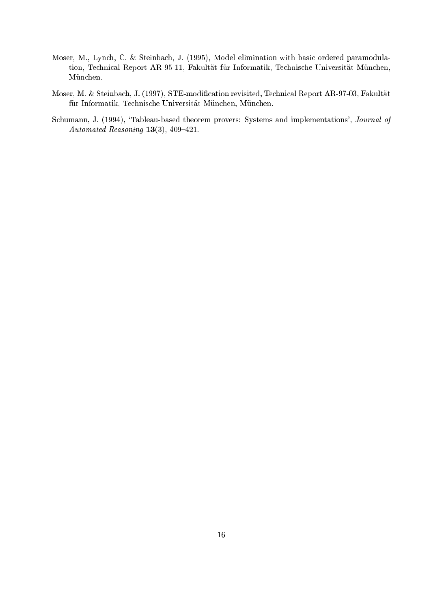- Moser, M., Lynch, C. & Steinbach, J. (1995), Model elimination with basic ordered paramodulation, Technical Report AR-95-11, Fakultät für Informatik, Technische Universität München, München.
- Moser, M. & Steinbach, J. (1997), STE-modication revisited, Technical Report AR-97-03, Fakultat für Informatik, Technische Universität München, München.
- Schumann, J. (1994), 'Tableau-based theorem provers: Systems and implementations', Journal of Automated Reasoning  $13(3)$ ,  $409-421$ .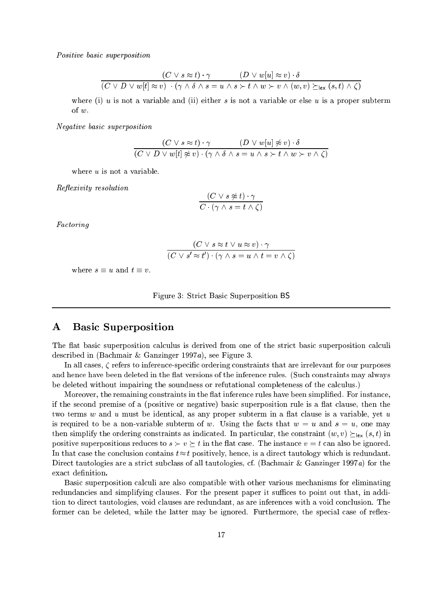Positive basic superposition

$$
\frac{(C \lor s \approx t) \cdot \gamma}{(C \lor D \lor w[t] \approx v) \cdot (\gamma \land \delta \land s = u \land s \succ t \land w \succ v \land (w, v) \succeq_{lex} (s, t) \land \zeta)}
$$

where (i)  $u$  is not a variable and (ii) either  $s$  is not a variable or else  $u$  is a proper subterm of w.

Negative basic superposition

$$
\frac{(C \lor s \approx t) \cdot \gamma}{(C \lor D \lor w[t] \not\approx v) \cdot (\gamma \land \delta \land s = u \land s \succ t \land w \succ v \land \zeta)}
$$

where u is not a variable.

Reflexivity resolution

$$
\frac{(C \lor s \not\approx t) \cdot \gamma}{C \cdot (\gamma \land s = t \land \zeta)}
$$

Factoring

$$
\frac{(C \lor s \approx t \lor u \approx v) \cdot \gamma}{(C \lor s' \approx t') \cdot (\gamma \land s = u \land t = v \land \zeta)}
$$

where  $s \equiv u$  and  $t \equiv v$ .

Figure 3: Strict Basic Superposition BS

# A Basic Superposition

The flat basic superposition calculus is derived from one of the strict basic superposition calculi described in (Bachmair & Ganzinger 1997a), see Figure 3.

In all cases,  $\zeta$  refers to inference-specific ordering constraints that are irrelevant for our purposes and hence have been deleted in the flat versions of the inference rules. (Such constraints may always be deleted without impairing the soundness or refutational completeness of the calculus.)

Moreover, the remaining constraints in the flat inference rules have been simplified. For instance, if the second premise of a (positive or negative) basic superposition rule is a flat clause, then the two terms  $w$  and  $u$  must be identical, as any proper subterm in a flat clause is a variable, yet  $u$ is required to be a non-variable subterm of w. Using the facts that  $w = u$  and  $s = u$ , one may then simplify the ordering constraints as indicated. In particular, the constraint  $(w, v) \succ_{\text{lex}} (s, t)$  in positive superpositions reduces to  $s \succ v \succ t$  in the flat case. The instance  $v = t$  can also be ignored. In that case the conclusion contains  $t \approx t$  positively, hence, is a direct tautology which is redundant. Direct tautologies are a strict subclass of all tautologies, cf. (Bachmair & Ganzinger 1997a) for the exact definition.

Basic superposition calculi are also compatible with other various mechanisms for eliminating redundancies and simplifying clauses. For the present paper it suffices to point out that, in addition to direct tautologies, void clauses are redundant, as are inferences with a void conclusion. The former can be deleted, while the latter may be ignored. Furthermore, the special case of reflex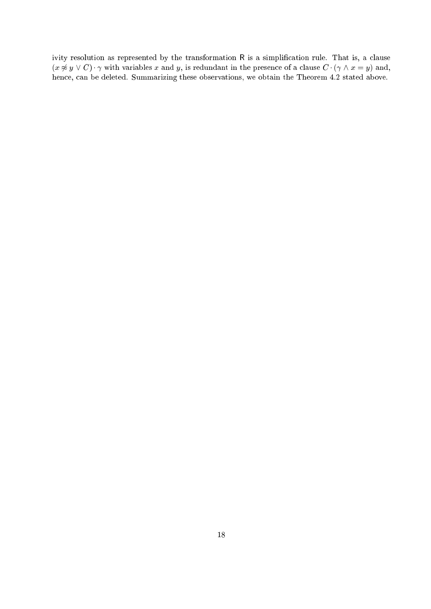ivity resolution as represented by the transformation R is a simplification rule. That is, a clause  $(x \not\approx y \lor C) \cdot \gamma$  with variables x and y, is redundant in the presence of a clause  $C \cdot (\gamma \land x = y)$  and, hence, can be deleted. Summarizing these observations, we obtain the Theorem 4.2 stated above.